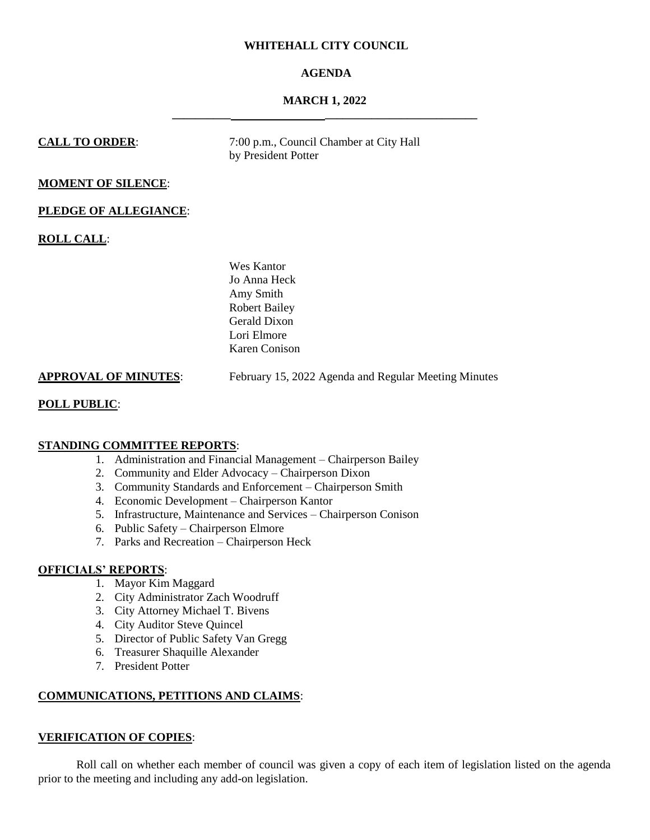## **WHITEHALL CITY COUNCIL**

# **AGENDA**

## **MARCH 1, 2022 \_\_\_\_\_\_\_\_\_\_ \_\_\_\_\_\_\_\_\_\_\_\_\_\_\_\_\_\_\_\_\_\_\_\_\_\_**

**CALL TO ORDER:** 7:00 p.m., Council Chamber at City Hall by President Potter

# **MOMENT OF SILENCE**:

## **PLEDGE OF ALLEGIANCE**:

**ROLL CALL**:

Wes Kantor Jo Anna Heck Amy Smith Robert Bailey Gerald Dixon Lori Elmore Karen Conison

**APPROVAL OF MINUTES**: February 15, 2022 Agenda and Regular Meeting Minutes

## **POLL PUBLIC**:

## **STANDING COMMITTEE REPORTS**:

- 1. Administration and Financial Management Chairperson Bailey
- 2. Community and Elder Advocacy Chairperson Dixon
- 3. Community Standards and Enforcement Chairperson Smith
- 4. Economic Development Chairperson Kantor
- 5. Infrastructure, Maintenance and Services Chairperson Conison
- 6. Public Safety Chairperson Elmore
- 7. Parks and Recreation Chairperson Heck

## **OFFICIALS' REPORTS**:

- 1. Mayor Kim Maggard
- 2. City Administrator Zach Woodruff
- 3. City Attorney Michael T. Bivens
- 4. City Auditor Steve Quincel
- 5. Director of Public Safety Van Gregg
- 6. Treasurer Shaquille Alexander
- 7. President Potter

# **COMMUNICATIONS, PETITIONS AND CLAIMS**:

## **VERIFICATION OF COPIES**:

Roll call on whether each member of council was given a copy of each item of legislation listed on the agenda prior to the meeting and including any add-on legislation.